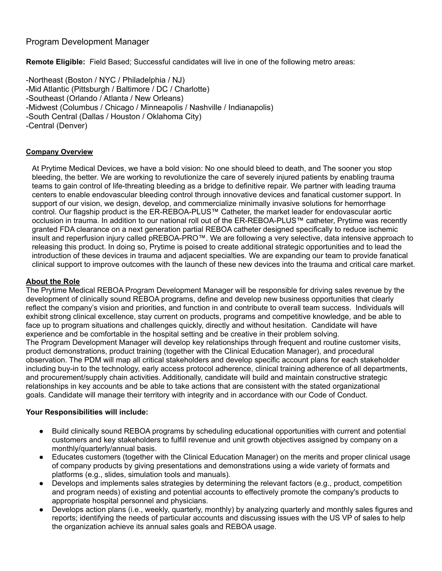# Program Development Manager

**Remote Eligible:** Field Based; Successful candidates will live in one of the following metro areas:

-Northeast (Boston / NYC / Philadelphia / NJ) -Mid Atlantic (Pittsburgh / Baltimore / DC / Charlotte) -Southeast (Orlando / Atlanta / New Orleans) -Midwest (Columbus / Chicago / Minneapolis / Nashville / Indianapolis) -South Central (Dallas / Houston / Oklahoma City) -Central (Denver)

### **Company Overview**

At Prytime Medical Devices, we have a bold vision: No one should bleed to death, and The sooner you stop bleeding, the better. We are working to revolutionize the care of severely injured patients by enabling trauma teams to gain control of life-threating bleeding as a bridge to definitive repair. We partner with leading trauma centers to enable endovascular bleeding control through innovative devices and fanatical customer support. In support of our vision, we design, develop, and commercialize minimally invasive solutions for hemorrhage control. Our flagship product is the ER-REBOA-PLUS™ Catheter, the market leader for endovascular aortic occlusion in trauma. In addition to our national roll out of the ER-REBOA-PLUS™ catheter, Prytime was recently granted FDA clearance on a next generation partial REBOA catheter designed specifically to reduce ischemic insult and reperfusion injury called pREBOA-PRO™. We are following a very selective, data intensive approach to releasing this product. In doing so, Prytime is poised to create additional strategic opportunities and to lead the introduction of these devices in trauma and adjacent specialties. We are expanding our team to provide fanatical clinical support to improve outcomes with the launch of these new devices into the trauma and critical care market.

### **About the Role**

The Prytime Medical REBOA Program Development Manager will be responsible for driving sales revenue by the development of clinically sound REBOA programs, define and develop new business opportunities that clearly reflect the company's vision and priorities, and function in and contribute to overall team success. Individuals will exhibit strong clinical excellence, stay current on products, programs and competitive knowledge, and be able to face up to program situations and challenges quickly, directly and without hesitation. Candidate will have experience and be comfortable in the hospital setting and be creative in their problem solving. The Program Development Manager will develop key relationships through frequent and routine customer visits, product demonstrations, product training (together with the Clinical Education Manager), and procedural observation. The PDM will map all critical stakeholders and develop specific account plans for each stakeholder including buy-in to the technology, early access protocol adherence, clinical training adherence of all departments, and procurement/supply chain activities. Additionally, candidate will build and maintain constructive strategic relationships in key accounts and be able to take actions that are consistent with the stated organizational goals. Candidate will manage their territory with integrity and in accordance with our Code of Conduct.

### **Your Responsibilities will include:**

- Build clinically sound REBOA programs by scheduling educational opportunities with current and potential customers and key stakeholders to fulfill revenue and unit growth objectives assigned by company on a monthly/quarterly/annual basis.
- Educates customers (together with the Clinical Education Manager) on the merits and proper clinical usage of company products by giving presentations and demonstrations using a wide variety of formats and platforms (e.g., slides, simulation tools and manuals).
- Develops and implements sales strategies by determining the relevant factors (e.g., product, competition and program needs) of existing and potential accounts to effectively promote the company's products to appropriate hospital personnel and physicians.
- Develops action plans (i.e., weekly, quarterly, monthly) by analyzing quarterly and monthly sales figures and reports; identifying the needs of particular accounts and discussing issues with the US VP of sales to help the organization achieve its annual sales goals and REBOA usage.